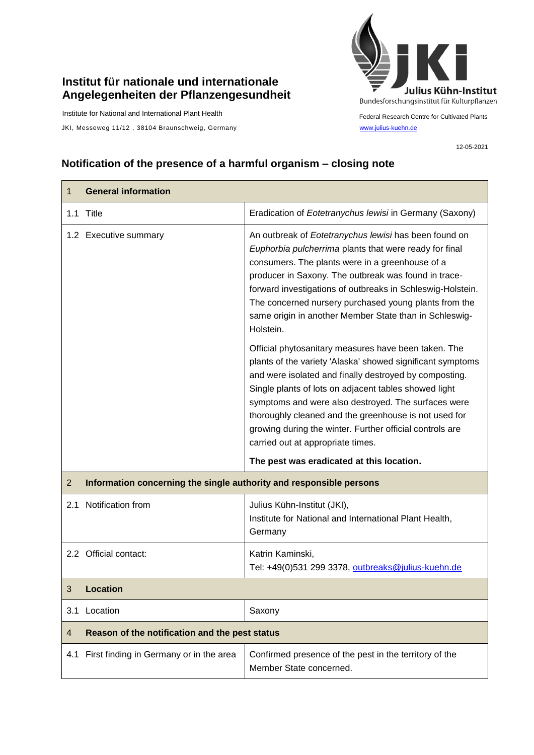## **Institut für nationale und internationale Angelegenheiten der Pflanzengesundheit**

Institute for National and International Plant Health

JKI, Messeweg 11/12, 38104 Braunschweig, Germany [www.julius-kuehn.de](http://www.julius-kuehn.de/)



Federal Research Centre for Cultivated Plants

12-05-2021

## **Notification of the presence of a harmful organism – closing note**

| 1              | <b>General information</b>                                                                                       |                                                                                                                                                                                                                                                                                                                                                                                                                                                        |  |
|----------------|------------------------------------------------------------------------------------------------------------------|--------------------------------------------------------------------------------------------------------------------------------------------------------------------------------------------------------------------------------------------------------------------------------------------------------------------------------------------------------------------------------------------------------------------------------------------------------|--|
|                | 1.1 Title                                                                                                        | Eradication of Eotetranychus lewisi in Germany (Saxony)                                                                                                                                                                                                                                                                                                                                                                                                |  |
|                | 1.2 Executive summary                                                                                            | An outbreak of Eotetranychus lewisi has been found on<br>Euphorbia pulcherrima plants that were ready for final<br>consumers. The plants were in a greenhouse of a<br>producer in Saxony. The outbreak was found in trace-<br>forward investigations of outbreaks in Schleswig-Holstein.<br>The concerned nursery purchased young plants from the<br>same origin in another Member State than in Schleswig-<br>Holstein.                               |  |
|                |                                                                                                                  | Official phytosanitary measures have been taken. The<br>plants of the variety 'Alaska' showed significant symptoms<br>and were isolated and finally destroyed by composting.<br>Single plants of lots on adjacent tables showed light<br>symptoms and were also destroyed. The surfaces were<br>thoroughly cleaned and the greenhouse is not used for<br>growing during the winter. Further official controls are<br>carried out at appropriate times. |  |
| $\overline{2}$ | The pest was eradicated at this location.<br>Information concerning the single authority and responsible persons |                                                                                                                                                                                                                                                                                                                                                                                                                                                        |  |
|                | 2.1 Notification from                                                                                            | Julius Kühn-Institut (JKI),<br>Institute for National and International Plant Health,<br>Germany                                                                                                                                                                                                                                                                                                                                                       |  |
|                | 2.2 Official contact:                                                                                            | Katrin Kaminski,<br>Tel: +49(0)531 299 3378, outbreaks@julius-kuehn.de                                                                                                                                                                                                                                                                                                                                                                                 |  |
| 3              | <b>Location</b>                                                                                                  |                                                                                                                                                                                                                                                                                                                                                                                                                                                        |  |
|                | 3.1 Location                                                                                                     | Saxony                                                                                                                                                                                                                                                                                                                                                                                                                                                 |  |
| 4              | Reason of the notification and the pest status                                                                   |                                                                                                                                                                                                                                                                                                                                                                                                                                                        |  |
|                | 4.1 First finding in Germany or in the area                                                                      | Confirmed presence of the pest in the territory of the<br>Member State concerned.                                                                                                                                                                                                                                                                                                                                                                      |  |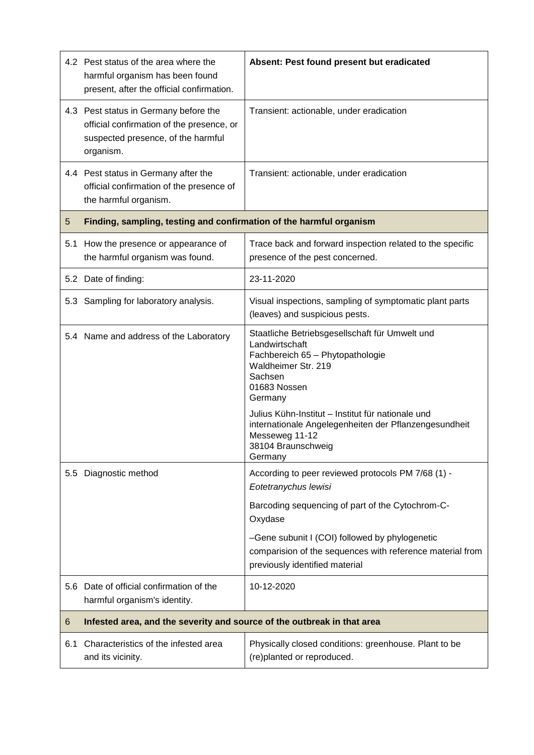|     | 4.2 Pest status of the area where the<br>harmful organism has been found<br>present, after the official confirmation.                 | Absent: Pest found present but eradicated                                                                                                                                                                                                                                                         |  |
|-----|---------------------------------------------------------------------------------------------------------------------------------------|---------------------------------------------------------------------------------------------------------------------------------------------------------------------------------------------------------------------------------------------------------------------------------------------------|--|
|     | 4.3 Pest status in Germany before the<br>official confirmation of the presence, or<br>suspected presence, of the harmful<br>organism. | Transient: actionable, under eradication                                                                                                                                                                                                                                                          |  |
|     | 4.4 Pest status in Germany after the<br>official confirmation of the presence of<br>the harmful organism.                             | Transient: actionable, under eradication                                                                                                                                                                                                                                                          |  |
| 5   | Finding, sampling, testing and confirmation of the harmful organism                                                                   |                                                                                                                                                                                                                                                                                                   |  |
| 5.1 | How the presence or appearance of<br>the harmful organism was found.                                                                  | Trace back and forward inspection related to the specific<br>presence of the pest concerned.                                                                                                                                                                                                      |  |
|     | 5.2 Date of finding:                                                                                                                  | 23-11-2020                                                                                                                                                                                                                                                                                        |  |
|     | 5.3 Sampling for laboratory analysis.                                                                                                 | Visual inspections, sampling of symptomatic plant parts<br>(leaves) and suspicious pests.                                                                                                                                                                                                         |  |
|     | 5.4 Name and address of the Laboratory                                                                                                | Staatliche Betriebsgesellschaft für Umwelt und<br>Landwirtschaft<br>Fachbereich 65 - Phytopathologie<br>Waldheimer Str. 219<br>Sachsen<br>01683 Nossen<br>Germany<br>Julius Kühn-Institut - Institut für nationale und<br>internationale Angelegenheiten der Pflanzengesundheit<br>Messeweg 11-12 |  |
|     |                                                                                                                                       | 38104 Braunschweig<br>Germany                                                                                                                                                                                                                                                                     |  |
|     | 5.5 Diagnostic method                                                                                                                 | According to peer reviewed protocols PM 7/68 (1) -<br>Eotetranychus lewisi                                                                                                                                                                                                                        |  |
|     |                                                                                                                                       | Barcoding sequencing of part of the Cytochrom-C-<br>Oxydase                                                                                                                                                                                                                                       |  |
|     |                                                                                                                                       | -Gene subunit I (COI) followed by phylogenetic<br>comparision of the sequences with reference material from<br>previously identified material                                                                                                                                                     |  |
|     | 5.6 Date of official confirmation of the<br>harmful organism's identity.                                                              | 10-12-2020                                                                                                                                                                                                                                                                                        |  |
| 6   | Infested area, and the severity and source of the outbreak in that area                                                               |                                                                                                                                                                                                                                                                                                   |  |
| 6.1 | Characteristics of the infested area<br>and its vicinity.                                                                             | Physically closed conditions: greenhouse. Plant to be<br>(re)planted or reproduced.                                                                                                                                                                                                               |  |